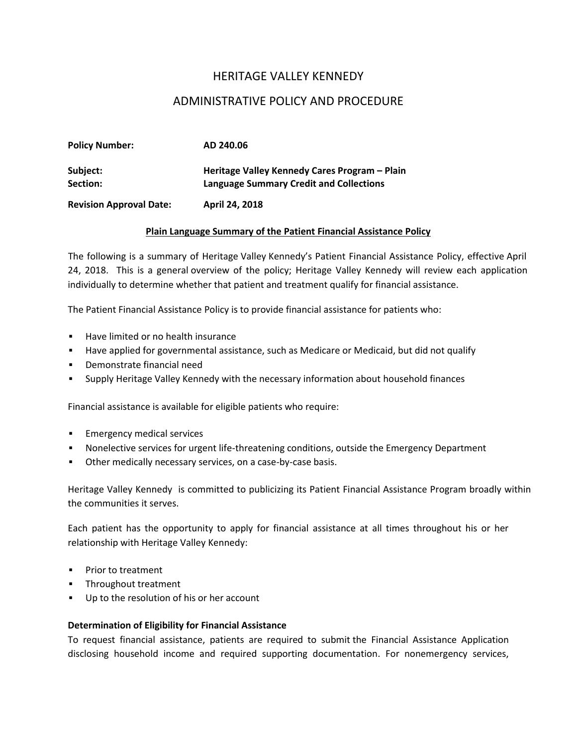# HERITAGE VALLEY KENNEDY

# ADMINISTRATIVE POLICY AND PROCEDURE

| <b>Policy Number:</b>          | AD 240.06                                                                                       |
|--------------------------------|-------------------------------------------------------------------------------------------------|
| Subject:<br>Section:           | Heritage Valley Kennedy Cares Program - Plain<br><b>Language Summary Credit and Collections</b> |
| <b>Revision Approval Date:</b> | April 24, 2018                                                                                  |

### **Plain Language Summary of the Patient Financial Assistance Policy**

The following is a summary of Heritage Valley Kennedy's Patient Financial Assistance Policy, effective April 24, 2018. This is a general overview of the policy; Heritage Valley Kennedy will review each application individually to determine whether that patient and treatment qualify for financial assistance.

The Patient Financial Assistance Policy is to provide financial assistance for patients who:

- **Have limited or no health insurance**
- Have applied for governmental assistance, such as Medicare or Medicaid, but did not qualify
- Demonstrate financial need
- Supply Heritage Valley Kennedy with the necessary information about household finances

Financial assistance is available for eligible patients who require:

- **Emergency medical services**
- Nonelective services for urgent life-threatening conditions, outside the Emergency Department
- Other medically necessary services, on a case-by-case basis.

Heritage Valley Kennedy is committed to publicizing its Patient Financial Assistance Program broadly within the communities it serves.

Each patient has the opportunity to apply for financial assistance at all times throughout his or her relationship with Heritage Valley Kennedy:

- **Prior to treatment**
- **Throughout treatment**
- Up to the resolution of his or her account

#### **Determination of Eligibility for Financial Assistance**

To request financial assistance, patients are required to submit the Financial Assistance Application disclosing household income and required supporting documentation. For nonemergency services,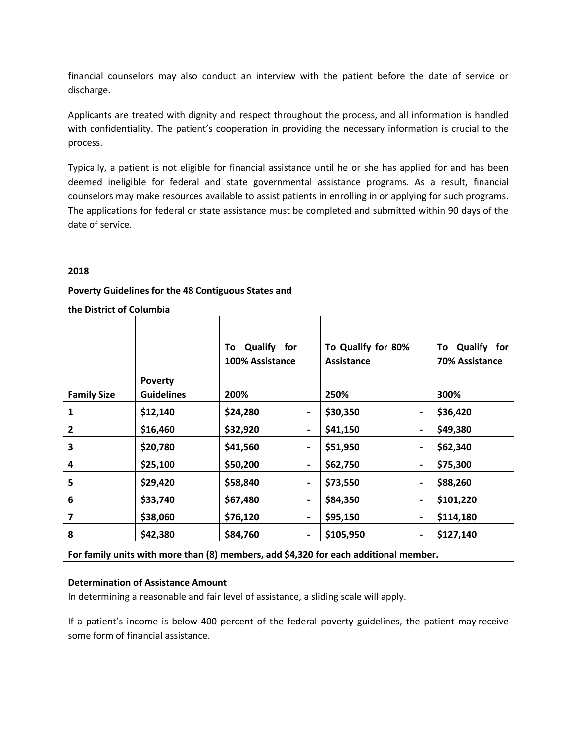financial counselors may also conduct an interview with the patient before the date of service or discharge.

Applicants are treated with dignity and respect throughout the process, and all information is handled with confidentiality. The patient's cooperation in providing the necessary information is crucial to the process.

Typically, a patient is not eligible for financial assistance until he or she has applied for and has been deemed ineligible for federal and state governmental assistance programs. As a result, financial counselors may make resources available to assist patients in enrolling in or applying for such programs. The applications for federal or state assistance must be completed and submitted within 90 days of the date of service.

| 2018                                                                                 |                   |                      |                              |                    |                              |                |  |
|--------------------------------------------------------------------------------------|-------------------|----------------------|------------------------------|--------------------|------------------------------|----------------|--|
| Poverty Guidelines for the 48 Contiguous States and                                  |                   |                      |                              |                    |                              |                |  |
| the District of Columbia                                                             |                   |                      |                              |                    |                              |                |  |
|                                                                                      |                   |                      |                              |                    |                              |                |  |
|                                                                                      |                   | Qualify<br>for<br>To |                              | To Qualify for 80% |                              | To Qualify for |  |
|                                                                                      |                   | 100% Assistance      |                              | <b>Assistance</b>  |                              | 70% Assistance |  |
|                                                                                      | <b>Poverty</b>    |                      |                              |                    |                              |                |  |
| <b>Family Size</b>                                                                   | <b>Guidelines</b> | 200%                 |                              | 250%               |                              | 300%           |  |
| 1                                                                                    | \$12,140          | \$24,280             | $\qquad \qquad \blacksquare$ | \$30,350           | -                            | \$36,420       |  |
| $\mathbf{2}$                                                                         | \$16,460          | \$32,920             | $\qquad \qquad \blacksquare$ | \$41,150           | $\overline{\phantom{0}}$     | \$49,380       |  |
| 3                                                                                    | \$20,780          | \$41,560             | $\overline{\phantom{a}}$     | \$51,950           | $\blacksquare$               | \$62,340       |  |
| 4                                                                                    | \$25,100          | \$50,200             | $\qquad \qquad \blacksquare$ | \$62,750           | $\blacksquare$               | \$75,300       |  |
| 5                                                                                    | \$29,420          | \$58,840             | $\overline{\phantom{a}}$     | \$73,550           | $\overline{\phantom{0}}$     | \$88,260       |  |
| 6                                                                                    | \$33,740          | \$67,480             | $\overline{\phantom{a}}$     | \$84,350           | $\overline{\phantom{0}}$     | \$101,220      |  |
| 7                                                                                    | \$38,060          | \$76,120             | $\overline{\phantom{a}}$     | \$95,150           | $\qquad \qquad \blacksquare$ | \$114,180      |  |
| 8                                                                                    | \$42,380          | \$84,760             | $\overline{\phantom{a}}$     | \$105,950          | $\overline{a}$               | \$127,140      |  |
| For family units with more than (8) members, add \$4,320 for each additional member. |                   |                      |                              |                    |                              |                |  |

### **Determination of Assistance Amount**

In determining a reasonable and fair level of assistance, a sliding scale will apply.

If a patient's income is below 400 percent of the [federal poverty guidelines,](http://aspe.hhs.gov/poverty/index.shtml) the patient may receive some form of financial assistance.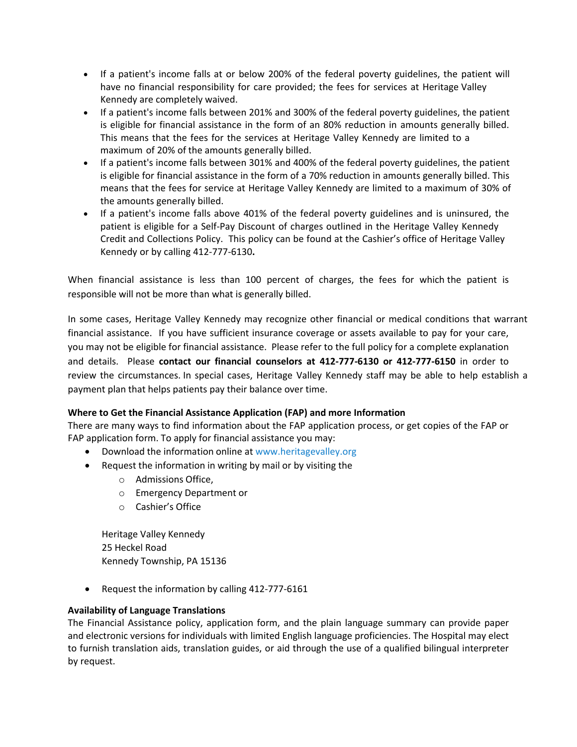- If a patient's income falls at or below 200% of the federal poverty guidelines, the patient will have no financial responsibility for care provided; the fees for services at Heritage Valley Kennedy are completely waived.
- If a patient's income falls between 201% and 300% of the federal poverty guidelines, the patient is eligible for financial assistance in the form of an 80% reduction in amounts generally billed. This means that the fees for the services at Heritage Valley Kennedy are limited to a maximum of 20% of the amounts generally billed.
- If a patient's income falls between 301% and 400% of the federal poverty guidelines, the patient is eligible for financial assistance in the form of a 70% reduction in amounts generally billed. This means that the fees for service at Heritage Valley Kennedy are limited to a maximum of 30% of the amounts generally billed.
- If a patient's income falls above 401% of the federal poverty guidelines and is uninsured, the patient is eligible for a Self-Pay Discount of charges outlined in the Heritage Valley Kennedy Credit and Collections Policy. This policy can be found at the Cashier's office of Heritage Valley Kennedy or by calling 412-777-6130**.**

When financial assistance is less than 100 percent of charges, the fees for which the patient is responsible will not be more than what is generally billed.

In some cases, Heritage Valley Kennedy may recognize other financial or medical conditions that warrant financial assistance. If you have sufficient insurance coverage or assets available to pay for your care, you may not be eligible for financial assistance. Please refer to the full policy for a complete explanation and details. Please **contact our financial counselors at 412-777-6130 or 412-777-6150** in order to review the circumstances. In special cases, Heritage Valley Kennedy staff may be able to help establish a payment plan that helps patients pay their balance over time.

## **Where to Get the Financial Assistance Application (FAP) and more Information**

There are many ways to find information about the FAP application process, or get copies of the FAP or FAP application form. To apply for financial assistance you may:

- Download the information online at www.[heritagevalley](http://www.heritagevalley.org/).org
- Request the information in writing by mail or by visiting the
	- o Admissions Office,
	- o Emergency Department or
	- o Cashier's Office

Heritage Valley Kennedy 25 Heckel Road Kennedy Township, PA 15136

• Request the information by calling 412-777-6161

## **Availability of Language Translations**

The Financial Assistance policy, application form, and the plain language summary can provide paper and electronic versions for individuals with limited English language proficiencies. The Hospital may elect to furnish translation aids, translation guides, or aid through the use of a qualified bilingual interpreter by request.